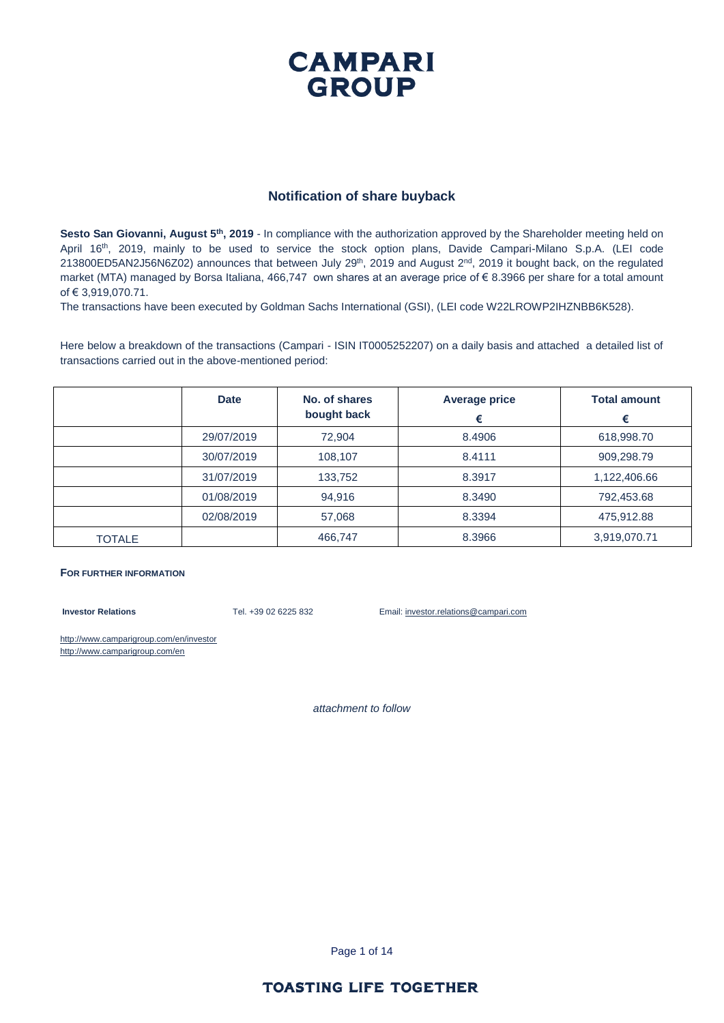#### **Notification of share buyback**

Sesto San Giovanni, August 5<sup>th</sup>, 2019 - In compliance with the authorization approved by the Shareholder meeting held on April 16<sup>th</sup>, 2019, mainly to be used to service the stock option plans, Davide Campari-Milano S.p.A. (LEI code 213800ED5AN2J56N6Z02) announces that between July 29<sup>th</sup>, 2019 and August 2<sup>nd</sup>, 2019 it bought back, on the regulated market (MTA) managed by Borsa Italiana, 466,747 own shares at an average price of € 8.3966 per share for a total amount of € 3,919,070.71.

The transactions have been executed by Goldman Sachs International (GSI), (LEI code W22LROWP2IHZNBB6K528).

Here below a breakdown of the transactions (Campari - ISIN IT0005252207) on a daily basis and attached a detailed list of transactions carried out in the above-mentioned period:

|               | <b>Date</b> | No. of shares<br>bought back | <b>Average price</b><br>€ | <b>Total amount</b><br>€ |
|---------------|-------------|------------------------------|---------------------------|--------------------------|
|               | 29/07/2019  | 72,904                       | 8.4906                    | 618,998.70               |
|               | 30/07/2019  | 108,107                      | 8.4111                    | 909,298.79               |
|               | 31/07/2019  | 133,752                      | 8.3917                    | 1,122,406.66             |
|               | 01/08/2019  | 94,916                       | 8.3490                    | 792,453.68               |
|               | 02/08/2019  | 57,068                       | 8.3394                    | 475,912.88               |
| <b>TOTALE</b> |             | 466,747                      | 8.3966                    | 3,919,070.71             |

#### **FOR FURTHER INFORMATION**

**Investor Relations** Tel. +39 02 6225 832 Email: investor.relations@campari.com

http://www.camparigroup.com/en/investor http://www.camparigroup.com/en

*attachment to follow*

Page 1 of 14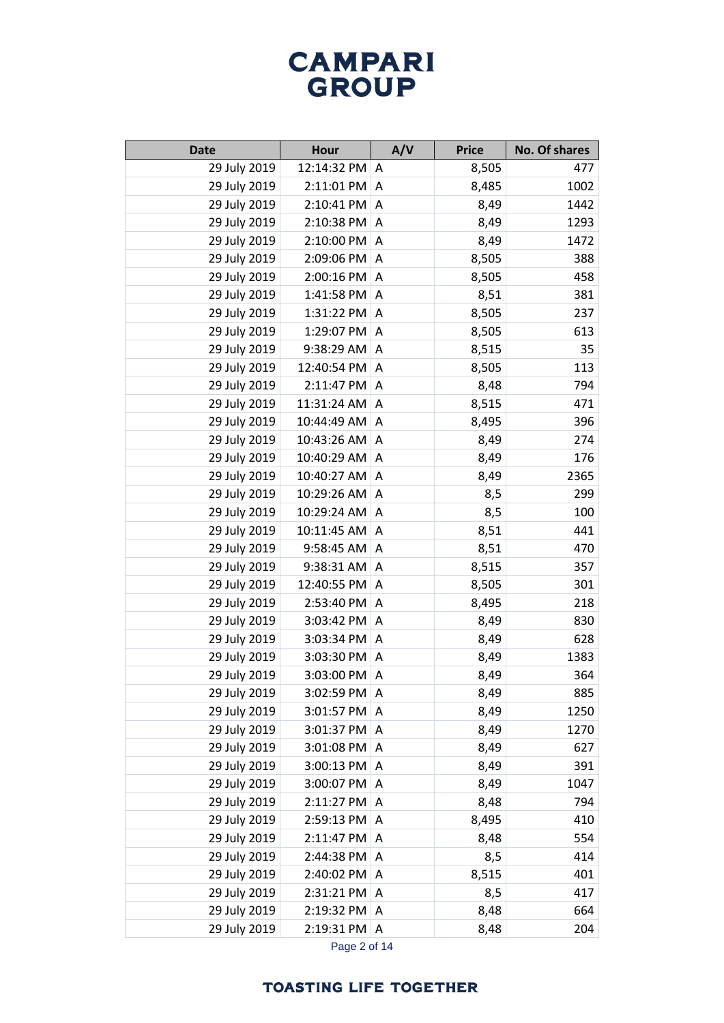| <b>Date</b>  | <b>Hour</b>      | A/V            | <b>Price</b> | No. Of shares |
|--------------|------------------|----------------|--------------|---------------|
| 29 July 2019 | 12:14:32 PM A    |                | 8,505        | 477           |
| 29 July 2019 | $2:11:01$ PM     | Α              | 8,485        | 1002          |
| 29 July 2019 | 2:10:41 PM A     |                | 8,49         | 1442          |
| 29 July 2019 | 2:10:38 PM       | A              | 8,49         | 1293          |
| 29 July 2019 | 2:10:00 PM       | A              | 8,49         | 1472          |
| 29 July 2019 | 2:09:06 PM       | A              | 8,505        | 388           |
| 29 July 2019 | 2:00:16 PM       | $\overline{A}$ | 8,505        | 458           |
| 29 July 2019 | 1:41:58 PM       | A              | 8,51         | 381           |
| 29 July 2019 | 1:31:22 PM       | A              | 8,505        | 237           |
| 29 July 2019 | 1:29:07 PM       | A              | 8,505        | 613           |
| 29 July 2019 | 9:38:29 AM       | A              | 8,515        | 35            |
| 29 July 2019 | 12:40:54 PM      | A              | 8,505        | 113           |
| 29 July 2019 | 2:11:47 PM       | Α              | 8,48         | 794           |
| 29 July 2019 | 11:31:24 AM      | A              | 8,515        | 471           |
| 29 July 2019 | 10:44:49 AM      | Α              | 8,495        | 396           |
| 29 July 2019 | 10:43:26 AM      | Α              | 8,49         | 274           |
| 29 July 2019 | 10:40:29 AM      | Α              | 8,49         | 176           |
| 29 July 2019 | 10:40:27 AM      | A              | 8,49         | 2365          |
| 29 July 2019 | 10:29:26 AM      | Α              | 8,5          | 299           |
| 29 July 2019 | 10:29:24 AM      | A              | 8,5          | 100           |
| 29 July 2019 | 10:11:45 AM      | Α              | 8,51         | 441           |
| 29 July 2019 | 9:58:45 AM       | A              | 8,51         | 470           |
| 29 July 2019 | 9:38:31 AM       | Α              | 8,515        | 357           |
| 29 July 2019 | 12:40:55 PM      | A              | 8,505        | 301           |
| 29 July 2019 | 2:53:40 PM       | Α              | 8,495        | 218           |
| 29 July 2019 | 3:03:42 PM       | A              | 8,49         | 830           |
| 29 July 2019 | 3:03:34 PM       | Α              | 8,49         | 628           |
| 29 July 2019 | 3:03:30 PM       | A              | 8,49         | 1383          |
| 29 July 2019 | 3:03:00 PM       | Α              | 8,49         | 364           |
| 29 July 2019 | 3:02:59 PM       | ۱A             | 8,49         | 885           |
| 29 July 2019 | 3:01:57 PM       | Α              | 8,49         | 1250          |
| 29 July 2019 | 3:01:37 PM       | A              | 8,49         | 1270          |
| 29 July 2019 | 3:01:08 PM       | A              | 8,49         | 627           |
| 29 July 2019 | 3:00:13 PM       | A              | 8,49         | 391           |
| 29 July 2019 | 3:00:07 PM       | A              | 8,49         | 1047          |
| 29 July 2019 | $2:11:27$ PM     | A              | 8,48         | 794           |
| 29 July 2019 | 2:59:13 PM       | A              | 8,495        | 410           |
| 29 July 2019 | $2:11:47$ PM     | A              | 8,48         | 554           |
| 29 July 2019 | 2:44:38 PM       | A              | 8,5          | 414           |
| 29 July 2019 | 2:40:02 PM       | A              | 8,515        | 401           |
| 29 July 2019 | 2:31:21 PM       | A              | 8,5          | 417           |
| 29 July 2019 | 2:19:32 PM A     |                | 8,48         | 664           |
| 29 July 2019 | $2:19:31$ PM   A |                | 8,48         | 204           |

Page 2 of 14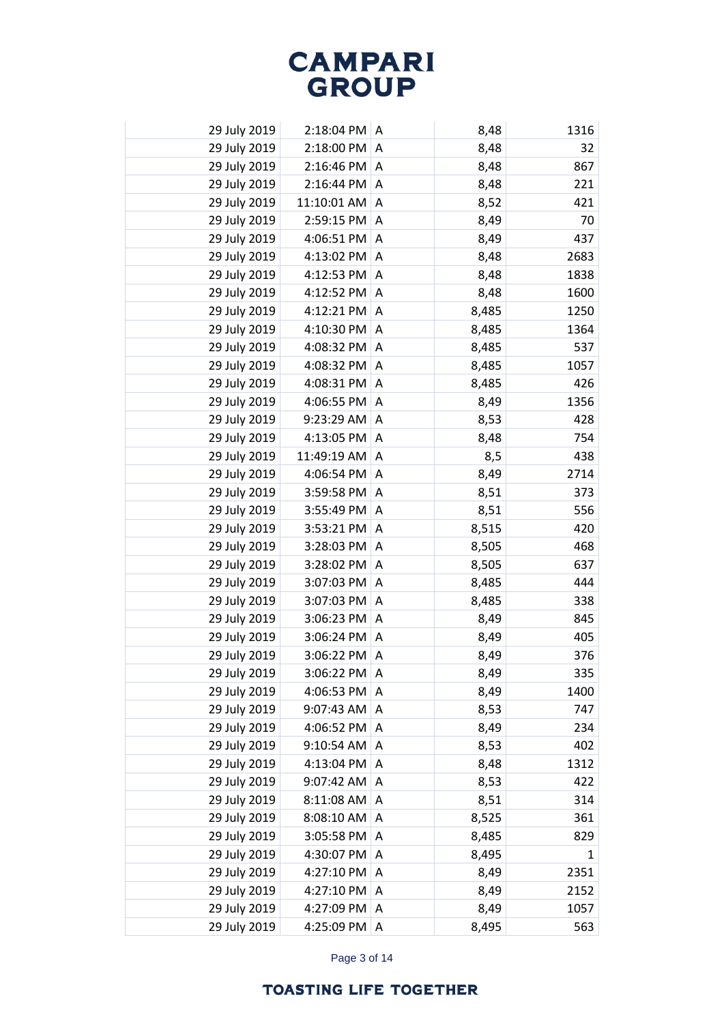| 29 July 2019 | 2:18:04 PM   A     |   | 8,48  | 1316 |
|--------------|--------------------|---|-------|------|
| 29 July 2019 | 2:18:00 PM         | A | 8,48  | 32   |
| 29 July 2019 | $2:16:46$ PM       | A | 8,48  | 867  |
| 29 July 2019 | 2:16:44 PM         | A | 8,48  | 221  |
| 29 July 2019 | $11:10:01$ AM $ A$ |   | 8,52  | 421  |
| 29 July 2019 | 2:59:15 PM         | A | 8,49  | 70   |
| 29 July 2019 | 4:06:51 PM         | A | 8,49  | 437  |
| 29 July 2019 | 4:13:02 PM         | A | 8,48  | 2683 |
| 29 July 2019 | 4:12:53 PM         | A | 8,48  | 1838 |
| 29 July 2019 | 4:12:52 PM         | Α | 8,48  | 1600 |
| 29 July 2019 | 4:12:21 PM         | A | 8,485 | 1250 |
| 29 July 2019 | 4:10:30 PM         | Α | 8,485 | 1364 |
| 29 July 2019 | 4:08:32 PM         | A | 8,485 | 537  |
| 29 July 2019 | 4:08:32 PM         | A | 8,485 | 1057 |
| 29 July 2019 | 4:08:31 PM         | A | 8,485 | 426  |
| 29 July 2019 | 4:06:55 PM         | Α | 8,49  | 1356 |
| 29 July 2019 | 9:23:29 AM         | Α | 8,53  | 428  |
| 29 July 2019 | 4:13:05 PM         | Α | 8,48  | 754  |
| 29 July 2019 | 11:49:19 AM        | A | 8,5   | 438  |
| 29 July 2019 | 4:06:54 PM         | Α | 8,49  | 2714 |
| 29 July 2019 | 3:59:58 PM         | A | 8,51  | 373  |
| 29 July 2019 | 3:55:49 PM         | Α | 8,51  | 556  |
| 29 July 2019 | 3:53:21 PM         | A | 8,515 | 420  |
| 29 July 2019 | 3:28:03 PM         | Α | 8,505 | 468  |
| 29 July 2019 | 3:28:02 PM         | A | 8,505 | 637  |
| 29 July 2019 | 3:07:03 PM         | Α | 8,485 | 444  |
| 29 July 2019 | 3:07:03 PM         | A | 8,485 | 338  |
| 29 July 2019 | 3:06:23 PM         | A | 8,49  | 845  |
| 29 July 2019 | 3:06:24 PM         | A | 8,49  | 405  |
| 29 July 2019 | 3:06:22 PM         | Α | 8,49  | 376  |
| 29 July 2019 | 3:06:22 PM         | A | 8,49  | 335  |
| 29 July 2019 | 4:06:53 PM         | A | 8,49  | 1400 |
| 29 July 2019 | 9:07:43 AM         | A | 8,53  | 747  |
| 29 July 2019 | 4:06:52 PM         | A | 8,49  | 234  |
| 29 July 2019 | 9:10:54 AM         | A | 8,53  | 402  |
| 29 July 2019 | 4:13:04 PM         | A | 8,48  | 1312 |
| 29 July 2019 | 9:07:42 AM         | A | 8,53  | 422  |
| 29 July 2019 | 8:11:08 AM         | A | 8,51  | 314  |
| 29 July 2019 | 8:08:10 AM         | A | 8,525 | 361  |
| 29 July 2019 | 3:05:58 PM         | A | 8,485 | 829  |
| 29 July 2019 | 4:30:07 PM         | Α | 8,495 | 1    |
| 29 July 2019 | 4:27:10 PM         | A | 8,49  | 2351 |
| 29 July 2019 | 4:27:10 PM         | Α | 8,49  | 2152 |
| 29 July 2019 | 4:27:09 PM         | A | 8,49  | 1057 |
| 29 July 2019 | 4:25:09 PM         | Α | 8,495 | 563  |

Page 3 of 14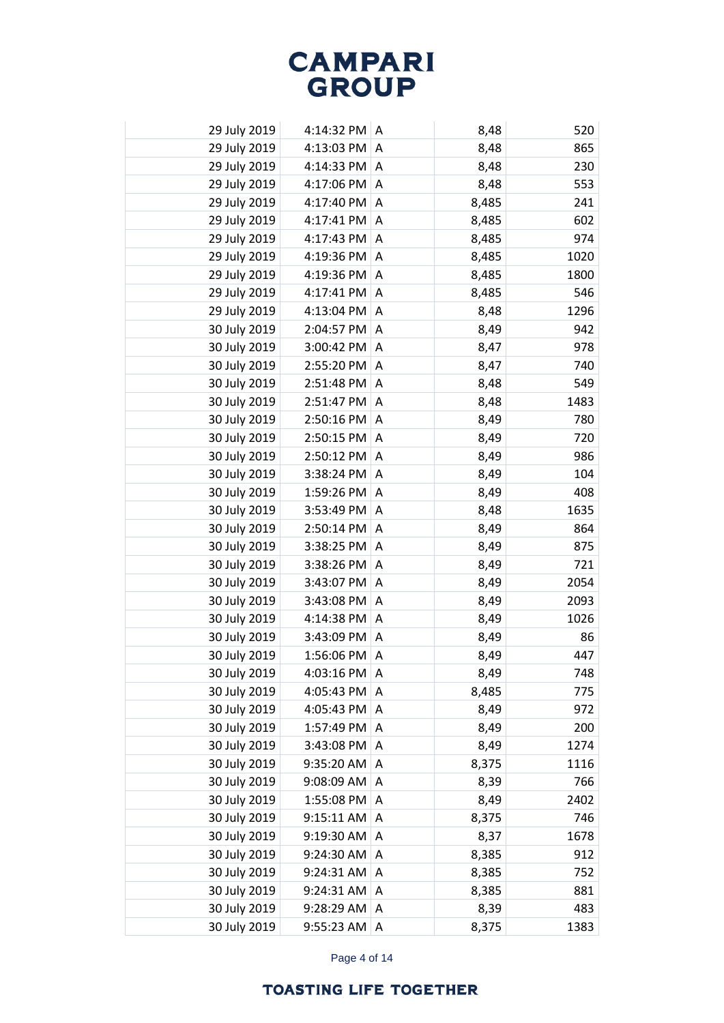| 29 July 2019 | 4:14:32 PM A    |                | 8,48  | 520  |
|--------------|-----------------|----------------|-------|------|
| 29 July 2019 | 4:13:03 PM      | A              | 8,48  | 865  |
| 29 July 2019 | 4:14:33 PM      | A              | 8,48  | 230  |
| 29 July 2019 | 4:17:06 PM      | A              | 8,48  | 553  |
| 29 July 2019 | 4:17:40 PM      | A              | 8,485 | 241  |
| 29 July 2019 | 4:17:41 PM      | A              | 8,485 | 602  |
| 29 July 2019 | 4:17:43 PM      | A              | 8,485 | 974  |
| 29 July 2019 | 4:19:36 PM      | A              | 8,485 | 1020 |
| 29 July 2019 | 4:19:36 PM      | A              | 8,485 | 1800 |
| 29 July 2019 | 4:17:41 PM      | A              | 8,485 | 546  |
| 29 July 2019 | 4:13:04 PM      | A              | 8,48  | 1296 |
| 30 July 2019 | 2:04:57 PM      | A              | 8,49  | 942  |
| 30 July 2019 | 3:00:42 PM      | $\Lambda$      | 8,47  | 978  |
| 30 July 2019 | 2:55:20 PM      | A              | 8,47  | 740  |
| 30 July 2019 | 2:51:48 PM      | A              | 8,48  | 549  |
| 30 July 2019 | 2:51:47 PM      | Α              | 8,48  | 1483 |
| 30 July 2019 | 2:50:16 PM      | $\Lambda$      | 8,49  | 780  |
| 30 July 2019 | 2:50:15 PM      | Α              | 8,49  | 720  |
| 30 July 2019 | 2:50:12 PM      | $\Lambda$      | 8,49  | 986  |
| 30 July 2019 | 3:38:24 PM      | Α              | 8,49  | 104  |
| 30 July 2019 | 1:59:26 PM      | $\overline{A}$ | 8,49  | 408  |
| 30 July 2019 | 3:53:49 PM      | Α              | 8,48  | 1635 |
| 30 July 2019 | 2:50:14 PM      | $\overline{A}$ | 8,49  | 864  |
| 30 July 2019 | 3:38:25 PM      | A              | 8,49  | 875  |
| 30 July 2019 | 3:38:26 PM      | $\overline{A}$ | 8,49  | 721  |
| 30 July 2019 | 3:43:07 PM A    |                | 8,49  | 2054 |
| 30 July 2019 | 3:43:08 PM      | A              | 8,49  | 2093 |
| 30 July 2019 | 4:14:38 PM $ A$ |                | 8,49  | 1026 |
| 30 July 2019 | 3:43:09 PM A    |                | 8,49  | 86   |
| 30 July 2019 | 1:56:06 PM      | A              | 8,49  | 447  |
| 30 July 2019 | 4:03:16 PM      | l A            | 8,49  | 748  |
| 30 July 2019 | 4:05:43 PM      | A              | 8,485 | 775  |
| 30 July 2019 | 4:05:43 PM      | A              | 8,49  | 972  |
| 30 July 2019 | 1:57:49 PM      | A              | 8,49  | 200  |
| 30 July 2019 | 3:43:08 PM      | A              | 8,49  | 1274 |
| 30 July 2019 | 9:35:20 AM      | Α              | 8,375 | 1116 |
| 30 July 2019 | 9:08:09 AM      | Α              | 8,39  | 766  |
| 30 July 2019 | 1:55:08 PM      | A              | 8,49  | 2402 |
| 30 July 2019 | 9:15:11 AM      | Α              | 8,375 | 746  |
| 30 July 2019 | 9:19:30 AM      | Α              | 8,37  | 1678 |
| 30 July 2019 | 9:24:30 AM      | Α              | 8,385 | 912  |
| 30 July 2019 | 9:24:31 AM      | Α              | 8,385 | 752  |
| 30 July 2019 | 9:24:31 AM      | Α              | 8,385 | 881  |
| 30 July 2019 | 9:28:29 AM      | A              | 8,39  | 483  |
| 30 July 2019 | 9:55:23 AM      | Α              | 8,375 | 1383 |

Page 4 of 14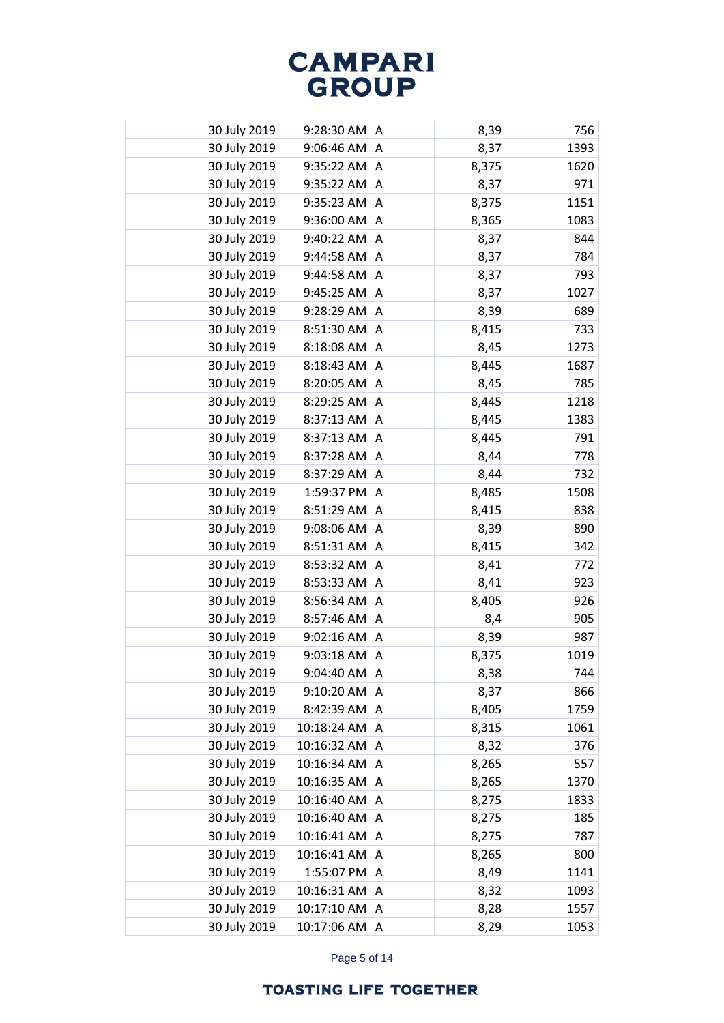| 30 July 2019 | $9:28:30$ AM $\mid$ A |           | 8,39  | 756  |
|--------------|-----------------------|-----------|-------|------|
| 30 July 2019 | 9:06:46 AM            | A         | 8,37  | 1393 |
| 30 July 2019 | $9:35:22$ AM A        |           | 8,375 | 1620 |
| 30 July 2019 | $9:35:22$ AM          | A         | 8,37  | 971  |
| 30 July 2019 | $9:35:23$ AM   A      |           | 8,375 | 1151 |
| 30 July 2019 | 9:36:00 AM            | A         | 8,365 | 1083 |
| 30 July 2019 | 9:40:22 AM            | A         | 8,37  | 844  |
| 30 July 2019 | 9:44:58 AM            | A         | 8,37  | 784  |
| 30 July 2019 | 9:44:58 AM            | A         | 8,37  | 793  |
| 30 July 2019 | 9:45:25 AM            | A         | 8,37  | 1027 |
| 30 July 2019 | 9:28:29 AM            | Α         | 8,39  | 689  |
| 30 July 2019 | 8:51:30 AM            | A         | 8,415 | 733  |
| 30 July 2019 | 8:18:08 AM            | A         | 8,45  | 1273 |
| 30 July 2019 | 8:18:43 AM            | Α         | 8,445 | 1687 |
| 30 July 2019 | 8:20:05 AM            | A         | 8,45  | 785  |
| 30 July 2019 | 8:29:25 AM            | Α         | 8,445 | 1218 |
| 30 July 2019 | 8:37:13 AM            | A         | 8,445 | 1383 |
| 30 July 2019 | 8:37:13 AM            | Α         | 8,445 | 791  |
| 30 July 2019 | 8:37:28 AM            | A         | 8,44  | 778  |
| 30 July 2019 | 8:37:29 AM            | A         | 8,44  | 732  |
| 30 July 2019 | 1:59:37 PM            | A         | 8,485 | 1508 |
| 30 July 2019 | 8:51:29 AM            | Α         | 8,415 | 838  |
| 30 July 2019 | 9:08:06 AM            | A         | 8,39  | 890  |
| 30 July 2019 | 8:51:31 AM            | Α         | 8,415 | 342  |
| 30 July 2019 | 8:53:32 AM            | $\Lambda$ | 8,41  | 772  |
| 30 July 2019 | 8:53:33 AM            | A         | 8,41  | 923  |
| 30 July 2019 | 8:56:34 AM            | $\Lambda$ | 8,405 | 926  |
| 30 July 2019 | 8:57:46 AM            | Α         | 8,4   | 905  |
| 30 July 2019 | 9:02:16 AM            | A         | 8,39  | 987  |
| 30 July 2019 | 9:03:18 AM            | Α         | 8,375 | 1019 |
| 30 July 2019 | 9:04:40 AM            | A         | 8,38  | 744  |
| 30 July 2019 | 9:10:20 AM            | Α         | 8,37  | 866  |
| 30 July 2019 | 8:42:39 AM            | A         | 8,405 | 1759 |
| 30 July 2019 | 10:18:24 AM           | A         | 8,315 | 1061 |
| 30 July 2019 | 10:16:32 AM           | A         | 8,32  | 376  |
| 30 July 2019 | 10:16:34 AM           | A         | 8,265 | 557  |
| 30 July 2019 | 10:16:35 AM           | A         | 8,265 | 1370 |
| 30 July 2019 | 10:16:40 AM           | A         | 8,275 | 1833 |
| 30 July 2019 | 10:16:40 AM           | A         | 8,275 | 185  |
| 30 July 2019 | 10:16:41 AM           | A         | 8,275 | 787  |
| 30 July 2019 | 10:16:41 AM           | Α         | 8,265 | 800  |
| 30 July 2019 | 1:55:07 PM            | Α         | 8,49  | 1141 |
| 30 July 2019 | 10:16:31 AM           | A         | 8,32  | 1093 |
| 30 July 2019 | 10:17:10 AM           | Α         | 8,28  | 1557 |
| 30 July 2019 | 10:17:06 AM           | Α         | 8,29  | 1053 |

Page 5 of 14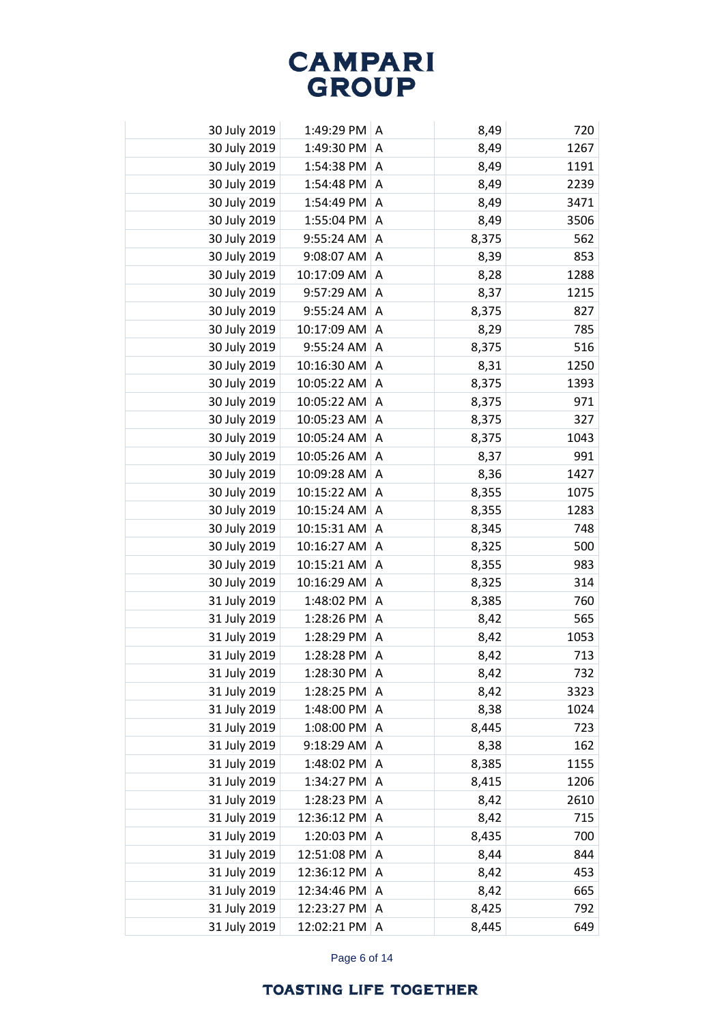| 30 July 2019 | 1:49:29 PM A |                | 8,49  | 720  |
|--------------|--------------|----------------|-------|------|
| 30 July 2019 | 1:49:30 PM   | A              | 8,49  | 1267 |
| 30 July 2019 | 1:54:38 PM A |                | 8,49  | 1191 |
| 30 July 2019 | 1:54:48 PM A |                | 8,49  | 2239 |
| 30 July 2019 | 1:54:49 PM A |                | 8,49  | 3471 |
| 30 July 2019 | 1:55:04 PM   | Α              | 8,49  | 3506 |
| 30 July 2019 | 9:55:24 AM   | A              | 8,375 | 562  |
| 30 July 2019 | 9:08:07 AM   | A              | 8,39  | 853  |
| 30 July 2019 | 10:17:09 AM  | A              | 8,28  | 1288 |
| 30 July 2019 | 9:57:29 AM   | A              | 8,37  | 1215 |
| 30 July 2019 | 9:55:24 AM   | A              | 8,375 | 827  |
| 30 July 2019 | 10:17:09 AM  | A              | 8,29  | 785  |
| 30 July 2019 | 9:55:24 AM   | A              | 8,375 | 516  |
| 30 July 2019 | 10:16:30 AM  | Α              | 8,31  | 1250 |
| 30 July 2019 | 10:05:22 AM  | A              | 8,375 | 1393 |
| 30 July 2019 | 10:05:22 AM  | Α              | 8,375 | 971  |
| 30 July 2019 | 10:05:23 AM  | $\Lambda$      | 8,375 | 327  |
| 30 July 2019 | 10:05:24 AM  | Α              | 8,375 | 1043 |
| 30 July 2019 | 10:05:26 AM  | $\overline{A}$ | 8,37  | 991  |
| 30 July 2019 | 10:09:28 AM  | A              | 8,36  | 1427 |
| 30 July 2019 | 10:15:22 AM  | A              | 8,355 | 1075 |
| 30 July 2019 | 10:15:24 AM  | Α              | 8,355 | 1283 |
| 30 July 2019 | 10:15:31 AM  | A              | 8,345 | 748  |
| 30 July 2019 | 10:16:27 AM  | Α              | 8,325 | 500  |
| 30 July 2019 | 10:15:21 AM  | $\Lambda$      | 8,355 | 983  |
| 30 July 2019 | 10:16:29 AM  | A              | 8,325 | 314  |
| 31 July 2019 | 1:48:02 PM   | $\Lambda$      | 8,385 | 760  |
| 31 July 2019 | 1:28:26 PM   | A              | 8,42  | 565  |
| 31 July 2019 | 1:28:29 PM   | A              | 8,42  | 1053 |
| 31 July 2019 | 1:28:28 PM   | Α              | 8,42  | 713  |
| 31 July 2019 | 1:28:30 PM   | A              | 8,42  | 732  |
| 31 July 2019 | 1:28:25 PM   | A              | 8,42  | 3323 |
| 31 July 2019 | 1:48:00 PM   | $\overline{A}$ | 8,38  | 1024 |
| 31 July 2019 | 1:08:00 PM   | A              | 8,445 | 723  |
| 31 July 2019 | 9:18:29 AM   | A              | 8,38  | 162  |
| 31 July 2019 | 1:48:02 PM   | A              | 8,385 | 1155 |
| 31 July 2019 | 1:34:27 PM   | Α              | 8,415 | 1206 |
| 31 July 2019 | 1:28:23 PM   | A              | 8,42  | 2610 |
| 31 July 2019 | 12:36:12 PM  | Α              | 8,42  | 715  |
| 31 July 2019 | 1:20:03 PM   | Α              | 8,435 | 700  |
| 31 July 2019 | 12:51:08 PM  | Α              | 8,44  | 844  |
| 31 July 2019 | 12:36:12 PM  | A              | 8,42  | 453  |
| 31 July 2019 | 12:34:46 PM  | A              | 8,42  | 665  |
| 31 July 2019 | 12:23:27 PM  | A              | 8,425 | 792  |
| 31 July 2019 | 12:02:21 PM  | Α              | 8,445 | 649  |

Page 6 of 14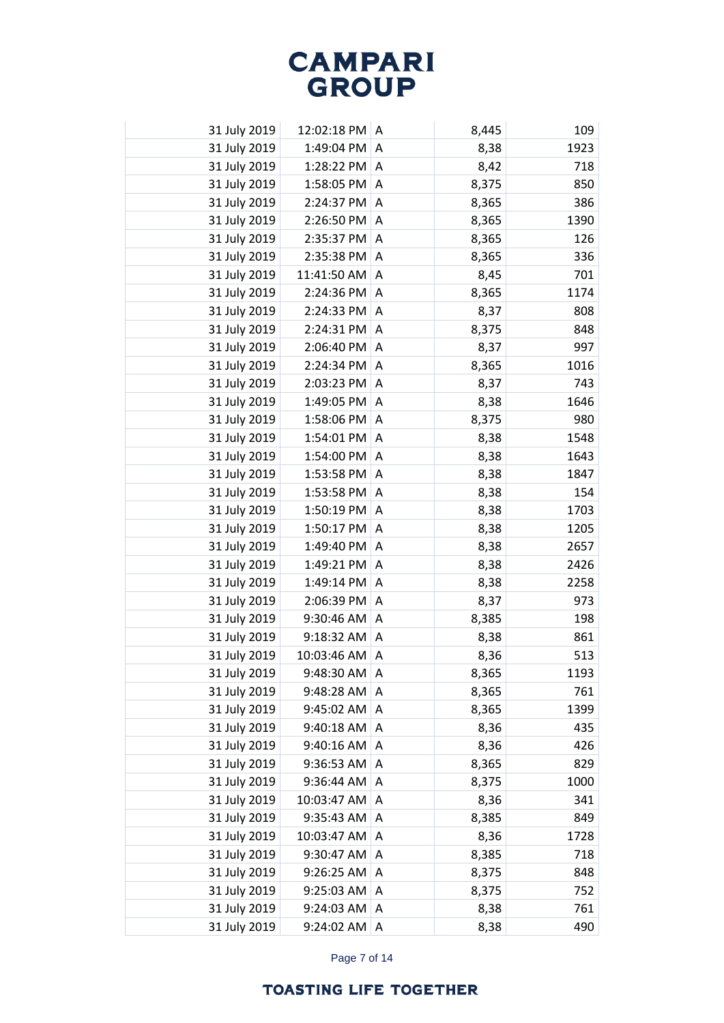| 31 July 2019 | 12:02:18 PM A  |                | 8,445 | 109  |
|--------------|----------------|----------------|-------|------|
| 31 July 2019 | 1:49:04 PM     | A              | 8,38  | 1923 |
| 31 July 2019 | 1:28:22 PM A   |                | 8,42  | 718  |
| 31 July 2019 | 1:58:05 PM     | A              | 8,375 | 850  |
| 31 July 2019 | 2:24:37 PM     | A              | 8,365 | 386  |
| 31 July 2019 | 2:26:50 PM     | A              | 8,365 | 1390 |
| 31 July 2019 | 2:35:37 PM     | A              | 8,365 | 126  |
| 31 July 2019 | 2:35:38 PM     | A              | 8,365 | 336  |
| 31 July 2019 | 11:41:50 AM    | A              | 8,45  | 701  |
| 31 July 2019 | 2:24:36 PM     | A              | 8,365 | 1174 |
| 31 July 2019 | 2:24:33 PM     | $\mathsf{A}$   | 8,37  | 808  |
| 31 July 2019 | 2:24:31 PM     | A              | 8,375 | 848  |
| 31 July 2019 | 2:06:40 PM     | $\overline{A}$ | 8,37  | 997  |
| 31 July 2019 | 2:24:34 PM     | Α              | 8,365 | 1016 |
| 31 July 2019 | 2:03:23 PM     | $\overline{A}$ | 8,37  | 743  |
| 31 July 2019 | 1:49:05 PM     | Α              | 8,38  | 1646 |
| 31 July 2019 | 1:58:06 PM     | $\Lambda$      | 8,375 | 980  |
| 31 July 2019 | 1:54:01 PM     | A              | 8,38  | 1548 |
| 31 July 2019 | 1:54:00 PM     | A              | 8,38  | 1643 |
| 31 July 2019 | 1:53:58 PM     | Α              | 8,38  | 1847 |
| 31 July 2019 | 1:53:58 PM     | $\overline{A}$ | 8,38  | 154  |
| 31 July 2019 | 1:50:19 PM     | A              | 8,38  | 1703 |
| 31 July 2019 | 1:50:17 PM     | A              | 8,38  | 1205 |
| 31 July 2019 | 1:49:40 PM     | A              | 8,38  | 2657 |
| 31 July 2019 | 1:49:21 PM A   |                | 8,38  | 2426 |
| 31 July 2019 | 1:49:14 PM A   |                | 8,38  | 2258 |
| 31 July 2019 | 2:06:39 PM     | A              | 8,37  | 973  |
| 31 July 2019 | $9:30:46$ AM   | A              | 8,385 | 198  |
| 31 July 2019 | $9:18:32$ AM A |                | 8,38  | 861  |
| 31 July 2019 | 10:03:46 AM    | A              | 8,36  | 513  |
| 31 July 2019 | 9:48:30 AM     | ۱A             | 8,365 | 1193 |
| 31 July 2019 | 9:48:28 AM     | A              | 8,365 | 761  |
| 31 July 2019 | 9:45:02 AM     | A              | 8,365 | 1399 |
| 31 July 2019 | 9:40:18 AM     | A              | 8,36  | 435  |
| 31 July 2019 | 9:40:16 AM     | A              | 8,36  | 426  |
| 31 July 2019 | 9:36:53 AM     | A              | 8,365 | 829  |
| 31 July 2019 | 9:36:44 AM     | Α              | 8,375 | 1000 |
| 31 July 2019 | 10:03:47 AM    | A              | 8,36  | 341  |
| 31 July 2019 | 9:35:43 AM     | A              | 8,385 | 849  |
| 31 July 2019 | 10:03:47 AM    | Α              | 8,36  | 1728 |
| 31 July 2019 | 9:30:47 AM     | Α              | 8,385 | 718  |
| 31 July 2019 | 9:26:25 AM     | Α              | 8,375 | 848  |
| 31 July 2019 | 9:25:03 AM     | Α              | 8,375 | 752  |
| 31 July 2019 | 9:24:03 AM     | A              | 8,38  | 761  |
| 31 July 2019 | 9:24:02 AM     | Α              | 8,38  | 490  |

Page 7 of 14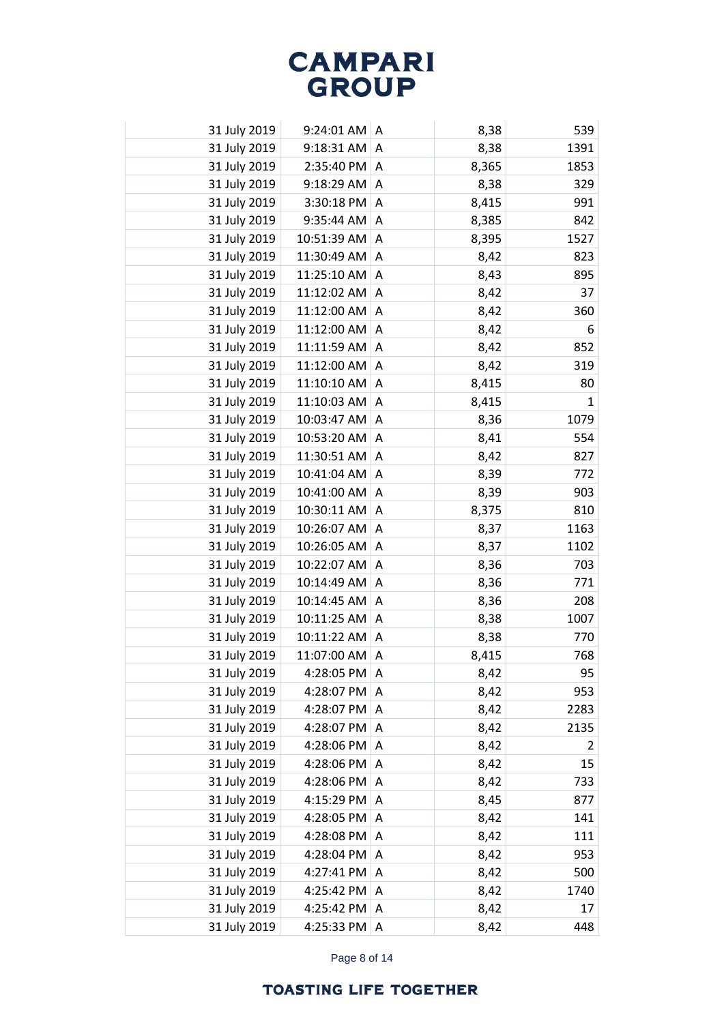| 31 July 2019 | $9:24:01$ AM $\mid$ A |   | 8,38  | 539            |
|--------------|-----------------------|---|-------|----------------|
| 31 July 2019 | 9:18:31 AM            | A | 8,38  | 1391           |
| 31 July 2019 | 2:35:40 PM A          |   | 8,365 | 1853           |
| 31 July 2019 | 9:18:29 AM            | A | 8,38  | 329            |
| 31 July 2019 | 3:30:18 PM            | A | 8,415 | 991            |
| 31 July 2019 | 9:35:44 AM            | Α | 8,385 | 842            |
| 31 July 2019 | 10:51:39 AM           | A | 8,395 | 1527           |
| 31 July 2019 | 11:30:49 AM           | A | 8,42  | 823            |
| 31 July 2019 | 11:25:10 AM           | A | 8,43  | 895            |
| 31 July 2019 | 11:12:02 AM           | A | 8,42  | 37             |
| 31 July 2019 | 11:12:00 AM           | Α | 8,42  | 360            |
| 31 July 2019 | 11:12:00 AM           | Α | 8,42  | 6              |
| 31 July 2019 | 11:11:59 AM           | Α | 8,42  | 852            |
| 31 July 2019 | 11:12:00 AM           | Α | 8,42  | 319            |
| 31 July 2019 | 11:10:10 AM           | A | 8,415 | 80             |
| 31 July 2019 | 11:10:03 AM           | Α | 8,415 | $\mathbf{1}$   |
| 31 July 2019 | 10:03:47 AM           | A | 8,36  | 1079           |
| 31 July 2019 | 10:53:20 AM           | A | 8,41  | 554            |
| 31 July 2019 | 11:30:51 AM           | A | 8,42  | 827            |
| 31 July 2019 | 10:41:04 AM           | Α | 8,39  | 772            |
| 31 July 2019 | 10:41:00 AM           | A | 8,39  | 903            |
| 31 July 2019 | 10:30:11 AM           | Α | 8,375 | 810            |
| 31 July 2019 | 10:26:07 AM           | A | 8,37  | 1163           |
| 31 July 2019 | 10:26:05 AM           | Α | 8,37  | 1102           |
| 31 July 2019 | 10:22:07 AM           | A | 8,36  | 703            |
| 31 July 2019 | 10:14:49 AM           | A | 8,36  | 771            |
| 31 July 2019 | 10:14:45 AM           | A | 8,36  | 208            |
| 31 July 2019 | 10:11:25 AM           | A | 8,38  | 1007           |
| 31 July 2019 | 10:11:22 AM           | A | 8,38  | 770            |
| 31 July 2019 | 11:07:00 AM           | Α | 8,415 | 768            |
| 31 July 2019 | 4:28:05 PM            | A | 8,42  | 95             |
| 31 July 2019 | 4:28:07 PM            | A | 8,42  | 953            |
| 31 July 2019 | 4:28:07 PM            | A | 8,42  | 2283           |
| 31 July 2019 | 4:28:07 PM            | A | 8,42  | 2135           |
| 31 July 2019 | 4:28:06 PM            | A | 8,42  | $\overline{2}$ |
| 31 July 2019 | 4:28:06 PM            | A | 8,42  | 15             |
| 31 July 2019 | 4:28:06 PM            | A | 8,42  | 733            |
| 31 July 2019 | 4:15:29 PM            | A | 8,45  | 877            |
| 31 July 2019 | 4:28:05 PM            | A | 8,42  | 141            |
| 31 July 2019 | 4:28:08 PM            | A | 8,42  | 111            |
| 31 July 2019 | 4:28:04 PM            | Α | 8,42  | 953            |
| 31 July 2019 | 4:27:41 PM            | A | 8,42  | 500            |
| 31 July 2019 | 4:25:42 PM            | Α | 8,42  | 1740           |
| 31 July 2019 | 4:25:42 PM            | A | 8,42  | 17             |
| 31 July 2019 | 4:25:33 PM            | Α | 8,42  | 448            |

Page 8 of 14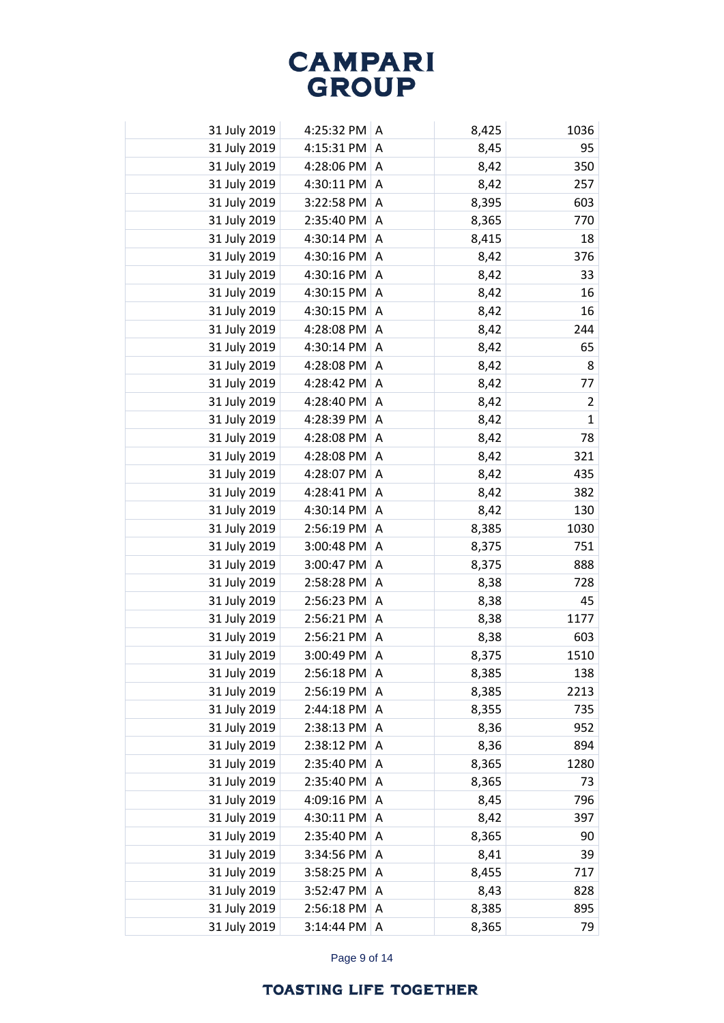| 31 July 2019 | 4:25:32 PM A           |                | 8,425 | 1036           |
|--------------|------------------------|----------------|-------|----------------|
| 31 July 2019 | 4:15:31 PM $ A$        |                | 8,45  | 95             |
| 31 July 2019 | 4:28:06 PM A           |                | 8,42  | 350            |
| 31 July 2019 | 4:30:11 PM A           |                | 8,42  | 257            |
| 31 July 2019 | $3:22:58$ PM $\vert$ A |                | 8,395 | 603            |
| 31 July 2019 | 2:35:40 PM A           |                | 8,365 | 770            |
| 31 July 2019 | 4:30:14 PM A           |                | 8,415 | 18             |
| 31 July 2019 | 4:30:16 PM $ A$        |                | 8,42  | 376            |
| 31 July 2019 | 4:30:16 PM $ A$        |                | 8,42  | 33             |
| 31 July 2019 | 4:30:15 PM             | A              | 8,42  | 16             |
| 31 July 2019 | 4:30:15 PM             | A              | 8,42  | 16             |
| 31 July 2019 | 4:28:08 PM             | A              | 8,42  | 244            |
| 31 July 2019 | 4:30:14 PM             | $\overline{A}$ | 8,42  | 65             |
| 31 July 2019 | 4:28:08 PM             | A              | 8,42  | 8              |
| 31 July 2019 | 4:28:42 PM             | $\overline{A}$ | 8,42  | 77             |
| 31 July 2019 | 4:28:40 PM             | Α              | 8,42  | $\overline{2}$ |
| 31 July 2019 | 4:28:39 PM A           |                | 8,42  | $\mathbf{1}$   |
| 31 July 2019 | 4:28:08 PM             | A              | 8,42  | 78             |
| 31 July 2019 | 4:28:08 PM             | A              | 8,42  | 321            |
| 31 July 2019 | 4:28:07 PM             | A              | 8,42  | 435            |
| 31 July 2019 | 4:28:41 PM   A         |                | 8,42  | 382            |
| 31 July 2019 | 4:30:14 PM $ A$        |                | 8,42  | 130            |
| 31 July 2019 | 2:56:19 PM             | A              | 8,385 | 1030           |
| 31 July 2019 | 3:00:48 PM             | A              | 8,375 | 751            |
| 31 July 2019 | 3:00:47 PM $ A$        |                | 8,375 | 888            |
| 31 July 2019 | 2:58:28 PM A           |                | 8,38  | 728            |
| 31 July 2019 | 2:56:23 PM A           |                | 8,38  | 45             |
| 31 July 2019 | $2:56:21$ PM $\mid$ A  |                | 8,38  | 1177           |
| 31 July 2019 | 2:56:21 PM A           |                | 8,38  | 603            |
| 31 July 2019 | 3:00:49 PM             | A              | 8,375 | 1510           |
| 31 July 2019 | 2:56:18 PM             | ∣A             | 8,385 | 138            |
| 31 July 2019 | 2:56:19 PM             | A              | 8,385 | 2213           |
| 31 July 2019 | $2:44:18$ PM   A       |                | 8,355 | 735            |
| 31 July 2019 | $2:38:13$ PM $ A$      |                | 8,36  | 952            |
| 31 July 2019 | 2:38:12 PM A           |                | 8,36  | 894            |
| 31 July 2019 | 2:35:40 PM A           |                | 8,365 | 1280           |
| 31 July 2019 | 2:35:40 PM             | A              | 8,365 | 73             |
| 31 July 2019 | 4:09:16 PM             | A              | 8,45  | 796            |
| 31 July 2019 | 4:30:11 PM             | A              | 8,42  | 397            |
| 31 July 2019 | 2:35:40 PM             | A              | 8,365 | 90             |
| 31 July 2019 | 3:34:56 PM             | Α              | 8,41  | 39             |
| 31 July 2019 | 3:58:25 PM             | A              | 8,455 | 717            |
| 31 July 2019 | 3:52:47 PM             | A              | 8,43  | 828            |
| 31 July 2019 | 2:56:18 PM             | A              | 8,385 | 895            |
| 31 July 2019 | 3:14:44 PM             | Α              | 8,365 | 79             |

Page 9 of 14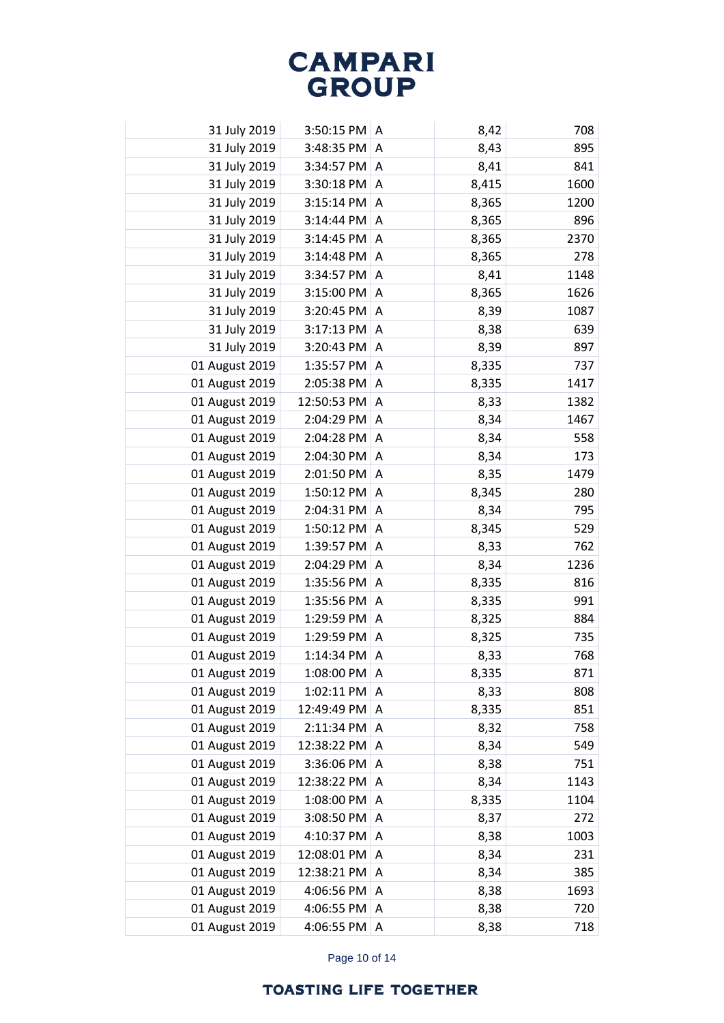| 31 July 2019   | $3:50:15$ PM $\vert$ A |                | 8,42  | 708  |
|----------------|------------------------|----------------|-------|------|
| 31 July 2019   | 3:48:35 PM             | A              | 8,43  | 895  |
| 31 July 2019   | 3:34:57 PM             | A              | 8,41  | 841  |
| 31 July 2019   | 3:30:18 PM             | Α              | 8,415 | 1600 |
| 31 July 2019   | 3:15:14 PM             | A              | 8,365 | 1200 |
| 31 July 2019   | 3:14:44 PM             | Α              | 8,365 | 896  |
| 31 July 2019   | 3:14:45 PM             | Α              | 8,365 | 2370 |
| 31 July 2019   | 3:14:48 PM             | Α              | 8,365 | 278  |
| 31 July 2019   | 3:34:57 PM             | Α              | 8,41  | 1148 |
| 31 July 2019   | 3:15:00 PM             | Α              | 8,365 | 1626 |
| 31 July 2019   | 3:20:45 PM             | A              | 8,39  | 1087 |
| 31 July 2019   | 3:17:13 PM             | Α              | 8,38  | 639  |
| 31 July 2019   | 3:20:43 PM             | A              | 8,39  | 897  |
| 01 August 2019 | 1:35:57 PM             | Α              | 8,335 | 737  |
| 01 August 2019 | 2:05:38 PM             | A              | 8,335 | 1417 |
| 01 August 2019 | 12:50:53 PM            | Α              | 8,33  | 1382 |
| 01 August 2019 | 2:04:29 PM             | A              | 8,34  | 1467 |
| 01 August 2019 | 2:04:28 PM             | Α              | 8,34  | 558  |
| 01 August 2019 | 2:04:30 PM             | A              | 8,34  | 173  |
| 01 August 2019 | 2:01:50 PM             | Α              | 8,35  | 1479 |
| 01 August 2019 | 1:50:12 PM             | $\overline{A}$ | 8,345 | 280  |
| 01 August 2019 | 2:04:31 PM             | Α              | 8,34  | 795  |
| 01 August 2019 | 1:50:12 PM             | $\Lambda$      | 8,345 | 529  |
| 01 August 2019 | 1:39:57 PM             | Α              | 8,33  | 762  |
| 01 August 2019 | 2:04:29 PM             | $\overline{A}$ | 8,34  | 1236 |
| 01 August 2019 | 1:35:56 PM             | Α              | 8,335 | 816  |
| 01 August 2019 | 1:35:56 PM             | A              | 8,335 | 991  |
| 01 August 2019 | 1:29:59 PM             | Α              | 8,325 | 884  |
| 01 August 2019 | 1:29:59 PM A           |                | 8,325 | 735  |
| 01 August 2019 | 1:14:34 PM             | A              | 8,33  | 768  |
| 01 August 2019 | 1:08:00 PM             | ΙA             | 8,335 | 871  |
| 01 August 2019 | 1:02:11 PM             | A              | 8,33  | 808  |
| 01 August 2019 | 12:49:49 PM            | Α              | 8,335 | 851  |
| 01 August 2019 | 2:11:34 PM             | Α              | 8,32  | 758  |
| 01 August 2019 | 12:38:22 PM            | Α              | 8,34  | 549  |
| 01 August 2019 | 3:36:06 PM             | A              | 8,38  | 751  |
| 01 August 2019 | 12:38:22 PM            | A              | 8,34  | 1143 |
| 01 August 2019 | 1:08:00 PM             | Α              | 8,335 | 1104 |
| 01 August 2019 | 3:08:50 PM             | A              | 8,37  | 272  |
| 01 August 2019 | 4:10:37 PM             | Α              | 8,38  | 1003 |
| 01 August 2019 | 12:08:01 PM            | Α              | 8,34  | 231  |
| 01 August 2019 | 12:38:21 PM            | Α              | 8,34  | 385  |
| 01 August 2019 | 4:06:56 PM             | Α              | 8,38  | 1693 |
| 01 August 2019 | 4:06:55 PM             | Α              | 8,38  | 720  |
| 01 August 2019 | 4:06:55 PM             | Α              | 8,38  | 718  |

Page 10 of 14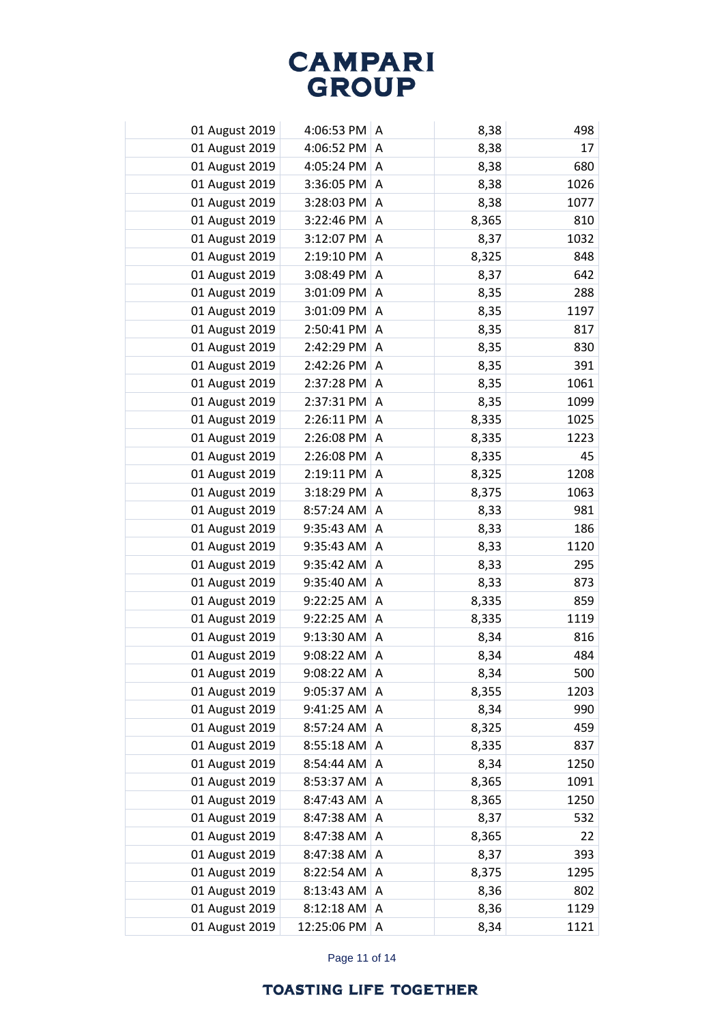| 01 August 2019 | 4:06:53 PM $ A$       |                | 8,38  | 498  |
|----------------|-----------------------|----------------|-------|------|
| 01 August 2019 | 4:06:52 PM            | A              | 8,38  | 17   |
| 01 August 2019 | 4:05:24 PM            | A              | 8,38  | 680  |
| 01 August 2019 | 3:36:05 PM            | A              | 8,38  | 1026 |
| 01 August 2019 | 3:28:03 PM            | A              | 8,38  | 1077 |
| 01 August 2019 | 3:22:46 PM            | A              | 8,365 | 810  |
| 01 August 2019 | 3:12:07 PM            | A              | 8,37  | 1032 |
| 01 August 2019 | 2:19:10 PM            | Α              | 8,325 | 848  |
| 01 August 2019 | 3:08:49 PM            | A              | 8,37  | 642  |
| 01 August 2019 | 3:01:09 PM            | Α              | 8,35  | 288  |
| 01 August 2019 | 3:01:09 PM            | A              | 8,35  | 1197 |
| 01 August 2019 | 2:50:41 PM            | Α              | 8,35  | 817  |
| 01 August 2019 | 2:42:29 PM            | $\overline{A}$ | 8,35  | 830  |
| 01 August 2019 | 2:42:26 PM            | Α              | 8,35  | 391  |
| 01 August 2019 | 2:37:28 PM            | A              | 8,35  | 1061 |
| 01 August 2019 | 2:37:31 PM            | Α              | 8,35  | 1099 |
| 01 August 2019 | 2:26:11 PM            | $\overline{A}$ | 8,335 | 1025 |
| 01 August 2019 | 2:26:08 PM            | Α              | 8,335 | 1223 |
| 01 August 2019 | 2:26:08 PM            | A              | 8,335 | 45   |
| 01 August 2019 | $2:19:11$ PM          | Α              | 8,325 | 1208 |
| 01 August 2019 | $3:18:29$ PM $\mid$ A |                | 8,375 | 1063 |
| 01 August 2019 | 8:57:24 AM            | Α              | 8,33  | 981  |
| 01 August 2019 | 9:35:43 AM            | A              | 8,33  | 186  |
| 01 August 2019 | 9:35:43 AM            | Α              | 8,33  | 1120 |
| 01 August 2019 | 9:35:42 AM            | A              | 8,33  | 295  |
| 01 August 2019 | 9:35:40 AM            | Α              | 8,33  | 873  |
| 01 August 2019 | 9:22:25 AM            | A              | 8,335 | 859  |
| 01 August 2019 | $9:22:25$ AM          | A              | 8,335 | 1119 |
| 01 August 2019 | 9:13:30 AM A          |                | 8,34  | 816  |
| 01 August 2019 | 9:08:22 AM            | A              | 8,34  | 484  |
| 01 August 2019 | 9:08:22 AM A          |                | 8,34  | 500  |
| 01 August 2019 | 9:05:37 AM            | A              | 8,355 | 1203 |
| 01 August 2019 | 9:41:25 AM            | A              | 8,34  | 990  |
| 01 August 2019 | 8:57:24 AM            | A              | 8,325 | 459  |
| 01 August 2019 | 8:55:18 AM            | A              | 8,335 | 837  |
| 01 August 2019 | 8:54:44 AM            | A              | 8,34  | 1250 |
| 01 August 2019 | 8:53:37 AM            | Α              | 8,365 | 1091 |
| 01 August 2019 | 8:47:43 AM            | A              | 8,365 | 1250 |
| 01 August 2019 | 8:47:38 AM            | Α              | 8,37  | 532  |
| 01 August 2019 | 8:47:38 AM            | Α              | 8,365 | 22   |
| 01 August 2019 | 8:47:38 AM            | Α              | 8,37  | 393  |
| 01 August 2019 | 8:22:54 AM            | A              | 8,375 | 1295 |
| 01 August 2019 | 8:13:43 AM            | A              | 8,36  | 802  |
| 01 August 2019 | 8:12:18 AM            | A              | 8,36  | 1129 |
| 01 August 2019 | 12:25:06 PM           | Α              | 8,34  | 1121 |

Page 11 of 14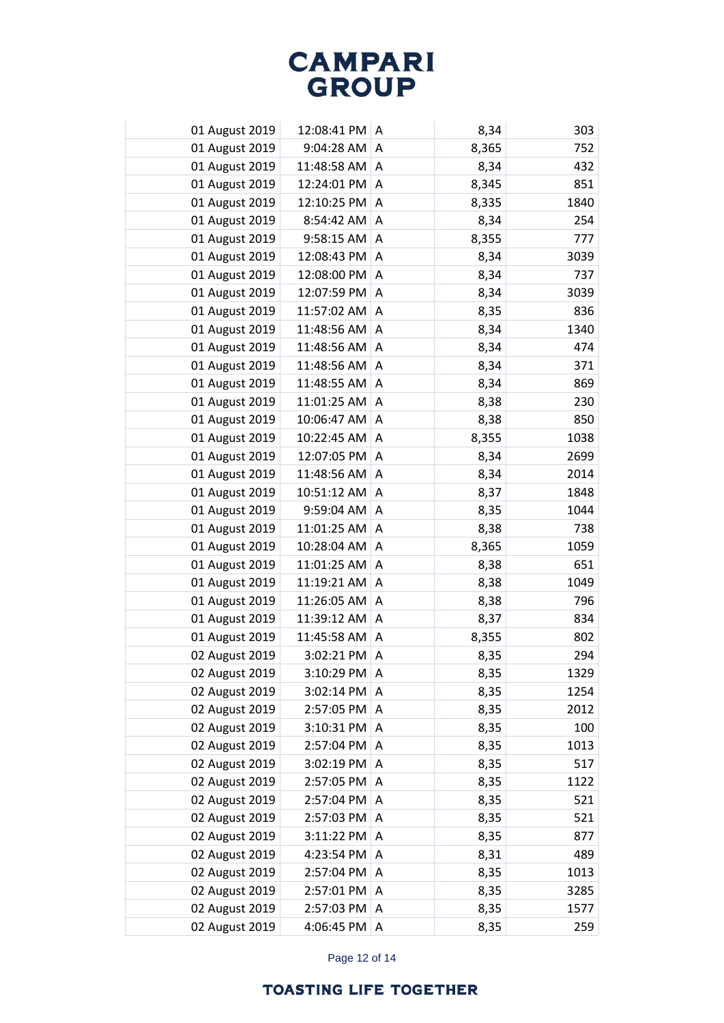| 01 August 2019 | 12:08:41 PM A     |                | 8,34  | 303  |
|----------------|-------------------|----------------|-------|------|
| 01 August 2019 | 9:04:28 AM        | A              | 8,365 | 752  |
| 01 August 2019 | 11:48:58 AM       | A              | 8,34  | 432  |
| 01 August 2019 | 12:24:01 PM       | A              | 8,345 | 851  |
| 01 August 2019 | 12:10:25 PM       | A              | 8,335 | 1840 |
| 01 August 2019 | 8:54:42 AM        | A              | 8,34  | 254  |
| 01 August 2019 | 9:58:15 AM        | A              | 8,355 | 777  |
| 01 August 2019 | 12:08:43 PM       | Α              | 8,34  | 3039 |
| 01 August 2019 | 12:08:00 PM       | A              | 8,34  | 737  |
| 01 August 2019 | 12:07:59 PM       | Α              | 8,34  | 3039 |
| 01 August 2019 | 11:57:02 AM       | A              | 8,35  | 836  |
| 01 August 2019 | 11:48:56 AM       | Α              | 8,34  | 1340 |
| 01 August 2019 | 11:48:56 AM       | A              | 8,34  | 474  |
| 01 August 2019 | 11:48:56 AM       | Α              | 8,34  | 371  |
| 01 August 2019 | 11:48:55 AM       | A              | 8,34  | 869  |
| 01 August 2019 | 11:01:25 AM       | Α              | 8,38  | 230  |
| 01 August 2019 | 10:06:47 AM       | $\overline{A}$ | 8,38  | 850  |
| 01 August 2019 | 10:22:45 AM       | Α              | 8,355 | 1038 |
| 01 August 2019 | 12:07:05 PM       | A              | 8,34  | 2699 |
| 01 August 2019 | 11:48:56 AM       | Α              | 8,34  | 2014 |
| 01 August 2019 | 10:51:12 AM   A   |                | 8,37  | 1848 |
| 01 August 2019 | 9:59:04 AM        | Α              | 8,35  | 1044 |
| 01 August 2019 | 11:01:25 AM       | l A            | 8,38  | 738  |
| 01 August 2019 | 10:28:04 AM       | Α              | 8,365 | 1059 |
| 01 August 2019 | $11:01:25$ AM   A |                | 8,38  | 651  |
| 01 August 2019 | 11:19:21 AM       | Α              | 8,38  | 1049 |
| 01 August 2019 | 11:26:05 AM       | A              | 8,38  | 796  |
| 01 August 2019 | 11:39:12 AM       | A              | 8,37  | 834  |
| 01 August 2019 | 11:45:58 AM A     |                | 8,355 | 802  |
| 02 August 2019 | 3:02:21 PM        | A              | 8,35  | 294  |
| 02 August 2019 | 3:10:29 PM   A    |                | 8,35  | 1329 |
| 02 August 2019 | 3:02:14 PM        | A              | 8,35  | 1254 |
| 02 August 2019 | 2:57:05 PM        | A              | 8,35  | 2012 |
| 02 August 2019 | 3:10:31 PM        | A              | 8,35  | 100  |
| 02 August 2019 | 2:57:04 PM        | A              | 8,35  | 1013 |
| 02 August 2019 | 3:02:19 PM        | A              | 8,35  | 517  |
| 02 August 2019 | 2:57:05 PM        | Α              | 8,35  | 1122 |
| 02 August 2019 | 2:57:04 PM        | A              | 8,35  | 521  |
| 02 August 2019 | 2:57:03 PM        | A              | 8,35  | 521  |
| 02 August 2019 | 3:11:22 PM        | A              | 8,35  | 877  |
| 02 August 2019 | 4:23:54 PM        | Α              | 8,31  | 489  |
| 02 August 2019 | 2:57:04 PM        | Α              | 8,35  | 1013 |
| 02 August 2019 | 2:57:01 PM        | Α              | 8,35  | 3285 |
| 02 August 2019 | 2:57:03 PM        | A              | 8,35  | 1577 |
| 02 August 2019 | 4:06:45 PM        | Α              | 8,35  | 259  |

Page 12 of 14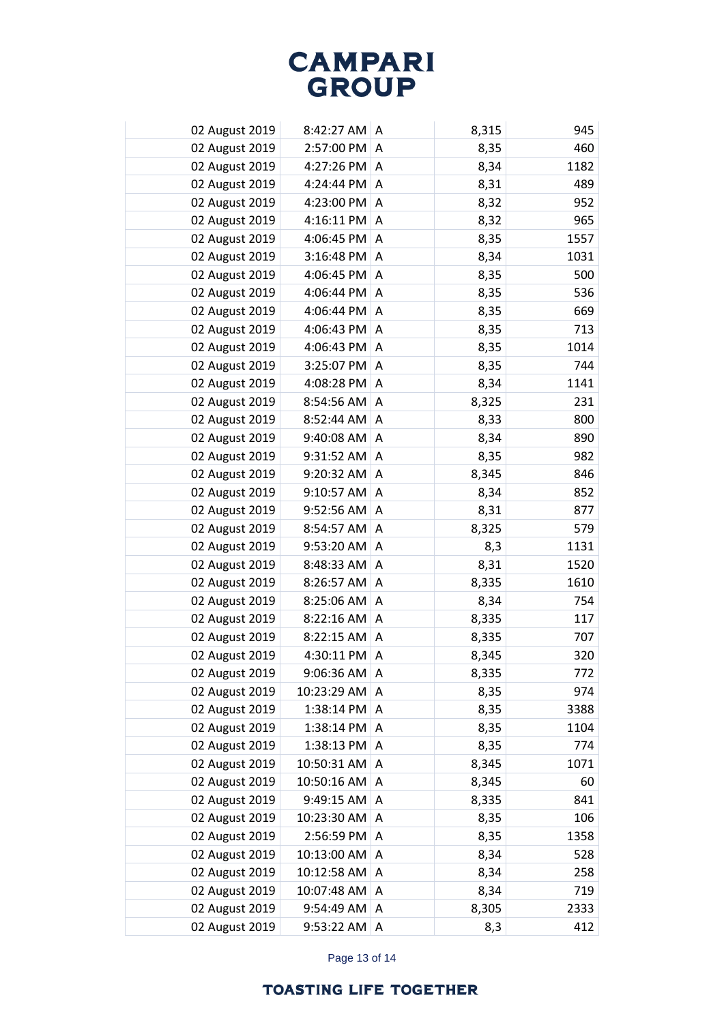| 02 August 2019 | $8:42:27$ AM   | A | 8,315 | 945  |
|----------------|----------------|---|-------|------|
| 02 August 2019 | 2:57:00 PM     | Α | 8,35  | 460  |
| 02 August 2019 | 4:27:26 PM     | Α | 8,34  | 1182 |
| 02 August 2019 | 4:24:44 PM     | Α | 8,31  | 489  |
| 02 August 2019 | 4:23:00 PM     | Α | 8,32  | 952  |
| 02 August 2019 | 4:16:11 PM     | Α | 8,32  | 965  |
| 02 August 2019 | 4:06:45 PM     | A | 8,35  | 1557 |
| 02 August 2019 | 3:16:48 PM     | Α | 8,34  | 1031 |
| 02 August 2019 | 4:06:45 PM     | A | 8,35  | 500  |
| 02 August 2019 | 4:06:44 PM     | Α | 8,35  | 536  |
| 02 August 2019 | 4:06:44 PM     | A | 8,35  | 669  |
| 02 August 2019 | 4:06:43 PM     | Α | 8,35  | 713  |
| 02 August 2019 | 4:06:43 PM     | A | 8,35  | 1014 |
| 02 August 2019 | 3:25:07 PM     | Α | 8,35  | 744  |
| 02 August 2019 | 4:08:28 PM     | A | 8,34  | 1141 |
| 02 August 2019 | 8:54:56 AM     | Α | 8,325 | 231  |
| 02 August 2019 | 8:52:44 AM     | A | 8,33  | 800  |
| 02 August 2019 | 9:40:08 AM     | Α | 8,34  | 890  |
| 02 August 2019 | 9:31:52 AM     | A | 8,35  | 982  |
| 02 August 2019 | 9:20:32 AM     | Α | 8,345 | 846  |
| 02 August 2019 | 9:10:57 AM     | A | 8,34  | 852  |
| 02 August 2019 | 9:52:56 AM     | Α | 8,31  | 877  |
| 02 August 2019 | 8:54:57 AM     | A | 8,325 | 579  |
| 02 August 2019 | 9:53:20 AM     | Α | 8,3   | 1131 |
| 02 August 2019 | 8:48:33 AM     | A | 8,31  | 1520 |
| 02 August 2019 | 8:26:57 AM     | Α | 8,335 | 1610 |
| 02 August 2019 | 8:25:06 AM     | A | 8,34  | 754  |
| 02 August 2019 | $8:22:16$ AM   | A | 8,335 | 117  |
| 02 August 2019 | 8:22:15 AM     | A | 8,335 | 707  |
| 02 August 2019 | 4:30:11 PM     | A | 8,345 | 320  |
| 02 August 2019 | $9:06:36$ AM A |   | 8,335 | 772  |
| 02 August 2019 | 10:23:29 AM    | Α | 8,35  | 974  |
| 02 August 2019 | 1:38:14 PM     | Α | 8,35  | 3388 |
| 02 August 2019 | 1:38:14 PM     | Α | 8,35  | 1104 |
| 02 August 2019 | 1:38:13 PM     | Α | 8,35  | 774  |
| 02 August 2019 | 10:50:31 AM    | Α | 8,345 | 1071 |
| 02 August 2019 | 10:50:16 AM    | Α | 8,345 | 60   |
| 02 August 2019 | 9:49:15 AM     | Α | 8,335 | 841  |
| 02 August 2019 | 10:23:30 AM    | Α | 8,35  | 106  |
| 02 August 2019 | 2:56:59 PM     | A | 8,35  | 1358 |
| 02 August 2019 | 10:13:00 AM    | Α | 8,34  | 528  |
| 02 August 2019 | 10:12:58 AM    | A | 8,34  | 258  |
| 02 August 2019 | 10:07:48 AM    | Α | 8,34  | 719  |
| 02 August 2019 | 9:54:49 AM     | Α | 8,305 | 2333 |
| 02 August 2019 | 9:53:22 AM     | Α | 8,3   | 412  |

Page 13 of 14